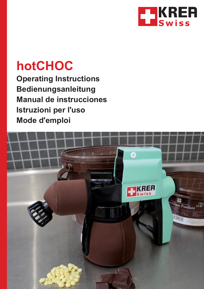

# **hotCHOC**

**Operating Instructions Bedienungsanleitung Manual de instrucciones Istruzioni per l'uso Mode d'emploi**

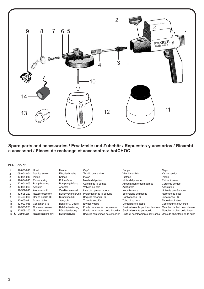

#### **Spare parts and accessories / Ersatzteile und Zubehör / e accessori / Pièces de rechange et accessoires: hotCHOC Repuestos y acesorios / Ricambi**

#### **Pos. Art. Nº.**

|                | 12-000-010       | Hood                | Haube              | Capò                              | Cappa                              | Capot                         |
|----------------|------------------|---------------------|--------------------|-----------------------------------|------------------------------------|-------------------------------|
| $\overline{2}$ | 09-004-004       | Service screw       | Flügelschraube     | Tornillo de servicio              | Vite di servizio                   | Vis de service                |
| 3              | 12-004-010       | Piston              | Kolben             | Pistòn                            | Pistone                            | Piston                        |
| 4              | 12-004-013       | Piston spring       | Kolbenfeder        | Muelle del pistòn                 | Molla del pistone                  | Piston à ressort              |
| 5              | 12-004-005       | Pump housing        | Pumpengehäuse      | Carcaja de la bomba               | Alloggiamento della pompa          | Corps de pompe                |
| 6              | 12-005-003       | Adapter             | Adapter            | Vàlvula de bola                   | Adattatore                         | Adaptateur                    |
|                | 12-507-010       | Atomiser unit       | Zerstäubereinheit  | Inserción pulverizadora           | Nebulizzatore                      | Unité de pulvérisation        |
| 8              | 12-508-220       | Nozzle extension    | Düsenverlängerung  | Prolongador de la boquilla        | Estensione dell'ugello             | Rallonge de buse              |
| 9              | 09-490-006       | Round nozzle R6     | Runddüse R6        | Boquilla redonda R6               | Ugello tondo R6                    | Buse ronde R6                 |
| 10             | 12-005-021       | Suction tube        | Saugrohr           | Tubo de succión                   | Tubo di suzione                    | Tube d'aspiration             |
| 11             | 12-000-016       | Container & lid     | Behälter & Deckel  | Envase y tapa                     | Contenitore e tappo                | Conteneur et couvercle        |
| 12             | 12-508-201       | Container sleeve    | Behälterisolierung | Funda de aislación del envase     | Guaina isolante per il contenitore | Manchon isolant du conteneur  |
| 13             | 12-508-200       | Nozzle sleeve       | Düsenisolierung    | Funda de aislación de la boquilla | Guaina isolante per ugello         | Manchon isolant de la buse    |
|                | 14 C Distributor | Nozzle heating unit | Düsenheizung       | Boquilla con unidad de clefacción | Unità di riscaldamento dell'ugello | Unité de chauffage de la buse |
|                |                  |                     |                    |                                   |                                    |                               |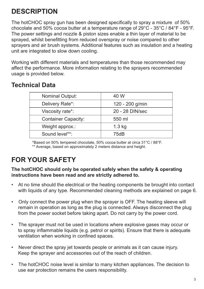## **DESCRIPTION**

The hotCHOC spray gun has been designed specifically to spray a mixture of 50% chocolate and 50% cocoa butter at a temperature range of 29°C - 35°C / 84°F - 95°F. The power settings and nozzle & piston sizes enable a thin layer of material to be sprayed, whilst benefitting from reduced overspray or noise compared to other sprayers and air brush systems. Additional features such as insulation and a heating unit are integrated to slow down cooling.

Working with different materials and temperatures than those recommended may affect the performance. More information relating to the sprayers recommended usage is provided below.

### **Technical Data**

| <b>Nominal Output:</b>     | 40 W            |
|----------------------------|-----------------|
| Delivery Rate*:            | 120 - 200 g/min |
| Viscosity rate*:           | 20 - 28 DIN/sec |
| <b>Container Capacity:</b> | 550 ml          |
| Weight approx.:            | $1.3$ kg        |
| Sound level**:             | 75dB            |

\*Based on 50% tempered chocolate, 50% cocoa butter at circa 31°C / 88°F. \*\* Average, based on approximately 2 meters distance and height.

## **FOR YOUR SAFETY**

#### **The hotCHOC should only be operated safely when the safety & operating instructions have been read and are strictly adhered to.**

- At no time should the electrical or the heating components be brought into contact with liquids of any type. Recommended cleaning methods are explained on page 6.
- Only connect the power plug when the sprayer is OFF. The heating sleeve will remain in operation as long as the plug is connected. Always disconnect the plug from the power socket before taking apart. Do not carry by the power cord.
- The sprayer must not be used in locations where explosive gases may occur or to spray inflammable liquids (e.g. petrol or spirits). Ensure that there is adequate ventilation when working in confined spaces.
- Never direct the spray jet towards people or animals as it can cause injury. Keep the sprayer and accessories out of the reach of children.
- The hotCHOC noise level is similar to many kitchen appliances. The decision to use ear protection remains the users responsibility.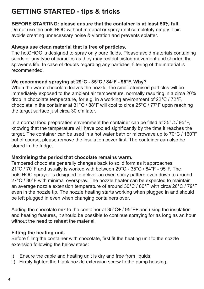### **GETTING STARTED - tips & tricks**

#### **BEFORE STARTING: please ensure that the container is at least 50% full.**

Do not use the hotCHOC without material or spray until completely empty. This avoids creating unnecessary noise & vibration and prevents splatter.

#### **Always use clean material that is free of particles.**

The hotCHOC is designed to spray only pure fluids. Please avoid materials containing seeds or any type of particles as they may restrict piston movement and shorten the sprayer`s life. In case of doubts regarding any particles, filtering of the material is recommended.

#### **We recommend spraying at 29°C - 35°C / 84°F - 95°F. Why?**

When the warm chocolate leaves the nozzle, the small atomised particles will be immediately exposed to the ambient air temperature, normally resulting in a circa 20% drop in chocolate temperature, for e.g. in a working environment of 22°C / 72°F, chocolate in the container at 31°C / 88°F will cool to circa 25°C / 77°F upon reaching the target surface just circa 30 cm later.

In a normal food preparation environment the container can be filled at 35°C / 95°F, knowing that the temperature will have cooled significantly by the time it reaches the target. The container can be used in a hot water bath or microwave up to 70°C / 160°F but of course, please remove the insulation cover first. The container can also be stored in the fridge.

#### **Maximising the period that chocolate remains warm.**

Tempered chocolate generally changes back to solid form as it approaches 21°C / 70°F and usually is worked with between 29°C - 35°C / 84°F - 95°F. The hotCHOC sprayer is designed to deliver an even spray pattern even down to around 27°C / 80°F with minimal overspray. The nozzle heater can be expected to maintain an average nozzle extension temperature of around 30°C / 86°F with circa 26°C / 79°F even in the nozzle tip. The nozzle heating starts working when plugged in and should be left plugged in even when changing containers over.

Adding the chocolate mix to the container at 35°C+ / 95°F+ and using the insulation and heating features, it should be possible to continue spraying for as long as an hour without the need to reheat the material

#### **Fitting the heating unit.**

Before filling the container with chocolate, first fit the heating unit to the nozzle extension following the below steps:

- i) Ensure the cable and heating unit is dry and free from liquids.
- ii) Firmly tighten the black nozzle extension screw to the pump housing.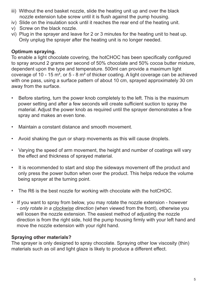- nozzle extension tube screw until it is flush against the pump housing. iii) Without the end basket nozzle, slide the heating unit up and over the black
- iv) Slide on the insulation sock until it reaches the rear end of the heating unit.
- v) Screw on the black nozzle.
- Only unplug the sprayer after the heating unit is no longer needed. vi) Plug in the sprayer and leave for 2 or 3 minutes for the heating unit to heat up.

#### **Optimum spraying.**

To enable a light chocolate covering, the hotCHOC has been specifically configured to spray around 2 grams per second of 50% chocolate and 50% cocoa butter mixture, dependent upon the type and temperature. 500ml can provide a maximum light coverage of 10 - 15 m², or 5 - 8 m² of thicker coating. A light coverage can be achieved with one pass, using a surface pattern of about 10 cm, sprayed approximately 30 cm away from the surface.

- Before starting, turn the power knob completely to the left. This is the maximum power setting and after a few seconds will create sufficient suction to spray the material. Adjust the power knob as required until the sprayer demonstrates a fine spray and makes an even tone.
- Maintain a constant distance and smooth movement.
- Avoid shaking the gun or sharp movements as this will cause droplets.
- Varying the speed of arm movement, the height and number of coatings will vary the effect and thickness of sprayed material.
- It is recommended to start and stop the sideways movement off the product and only press the power button when over the product. This helps reduce the volume being sprayer at the turning point.
- The R6 is the best nozzle for working with chocolate with the hotCHOC.
- If you want to spray from below, you may rotate the nozzle extension however - *only rotate in a clockwise direction* (when viewed from the front), otherwise you will loosen the nozzle extension. The easiest method of adjusting the nozzle direction is from the right side, hold the pump housing firmly with your left hand and move the nozzle extension with your right hand.

#### **Spraying other materials?**

The sprayer is only designed to spray chocolate. Spraying other low viscosity (thin) materials such as oil and light glaze is likely to produce a different effect.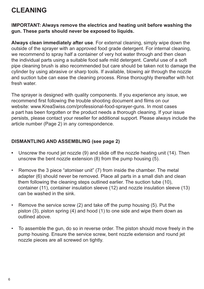### **CLEANING**

#### **IMPORTANT: Always remove the electrics and heating unit before washing the gun. These parts should never be exposed to liquids.**

**Always clean immediately after use**. For external cleaning, simply wipe down the outside of the sprayer with an approved food grade detergent. For internal cleaning, we recommend to spray half a container of very hot water through and then clean the individual parts using a suitable food safe mild detergent. Careful use of a soft pipe cleaning brush is also recommended but care should be taken not to damage the cylinder by using abrasive or sharp tools. If available, blowing air through the nozzle and suction tube can ease the cleaning process. Rinse thoroughly thereafter with hot fresh water.

The sprayer is designed with quality components. If you experience any issue, we recommend first following the trouble shooting document and films on our website: www.KreaSwiss.com/professional-food-sprayer-guns. In most cases a part has been forgotten or the product needs a thorough cleaning. If your issue persists, please contact your reseller for additional support. Please always include the article number (Page 2) in any correspondence.

#### **DISMANTLING AND ASSEMBLING (see page 2)**

- **•** Unscrew the round jet nozzle (9) and slide off the nozzle heating unit (14). Then unscrew the bent nozzle extension (8) from the pump housing (5).
- Remove the 3 piece "atomiser unit" (7) from inside the chamber. The metal adapter (6) should never be removed. Place all parts in a small dish and clean them following the cleaning steps outlined earlier. The suction tube (10), container (11), container insulation sleeve (12) and nozzle insulation sleeve (13) can be washed in the sink.
- Remove the service screw (2) and take off the pump housing (5). Put the piston (3), piston spring (4) and hood (1) to one side and wipe them down as outlined above.
- To assemble the gun, do so in reverse order. The piston should move freely in the pump housing. Ensure the service screw, bent nozzle extension and round jet nozzle pieces are all screwed on tightly.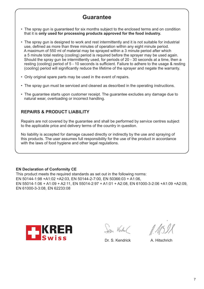### **Guarantee**

- The spray gun is guaranteed for six months subject to the enclosed terms and on condition that it is **only used for processing products approved for the food industry.**
- The spray gun is designed to work and rest intermittently and it is not suitable for industrial use, defined as more than three minutes of operation within any eight minute period. A maximum of 550 ml of material may be sprayed within a 3 minute period after which a 5 minute total resting (cooling) period is required before the sprayer may be used again. Should the spray gun be intermittently used, for periods of 20 - 30 seconds at a time, then a resting (cooling) period of 5 - 10 seconds is sufficient. Failure to adhere to the usage & resting (cooling) period will significantly reduce the lifetime of the sprayer and negate the warranty.
- Only original spare parts may be used in the event of repairs.
- The spray gun must be serviced and cleaned as described in the operating instructions.
- The guarantee starts upon customer receipt. The guarantee excludes any damage due to natural wear, overloading or incorrect handling.

#### **REPAIRS & PRODUCT LIABILITY**

Repairs are not covered by the guarantee and shall be performed by service centres subject to the applicable price and delivery terms of the country in question.

No liability is accepted for damage caused directly or indirectly by the use and spraying of this products. The user assumes full responsibility for the use of the product in accordance with the laws of food hygiene and other legal regulations.

#### **EN Declaration of Conformity CE**

This product meets the required standards as set out in the following norms: EN 50144-1:98 +A1:02 +A2:03, EN 50144-2-7:00, EN 50366:03 + A1:06, EN 55014-1:06 + A1:09 + A2:11, EN 55014-2:97 + A1:01 + A2:08, EN 61000-3-2:06 +A1:09 +A2:09, EN 61000-3-3:08, EN 62233:08



San Verdel

Dr. S. Kendrick A. Hitschrich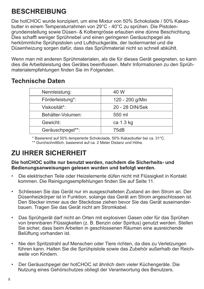### **BESCHREIBUNG**

Die hotCHOC wurde konzipiert, um eine Mixtur von 50% Schokolade / 50% Kakaobutter in einem Temperaturrahmen von 29°C - 40°C zu sprühen. Die Pistolengrundeinstellung sowie Düsen- & Kolbengrösse erlauben eine dünne Beschichtung. Dies schafft weniger Sprühnebel und einen geringeren Geräuschpegel als herkömmliche Sprühpistolen und Luftdruckgeräte, der Isoliermantel und die Düsenheizung sorgen dafür, dass das Sprühmaterial nicht so schnell abkühlt.

Wenn man mit anderen Sprühmaterialen, als die für dieses Gerät geeigneten, so kann dies die Arbeitsleistung des Gerätes beeinflussen. Mehr Informationen zu den Sprühmaterialempfehlungen finden Sie im Folgenden.

### **Technische Daten**

| Nennleistung:     | 40 W            |
|-------------------|-----------------|
| Förderleistung*:  | 120 - 200 g/Min |
| Viskosität*:      | 20 - 28 DIN/Sek |
| Behälter-Volumen: | 550 ml          |
| Gewicht:          | ca 1.3 kg       |
| Geräuschpegel**:  | 75dB            |
|                   |                 |

\* Basierend auf 50% temperierte Schokolade, 50% Kakaobutter bei ca. 31°C. \*\* Durchschnittlich, basierend auf ca. 2 Meter Distanz und Höhe.

## **ZU IHRER SICHERHEIT**

**Die hotCHOC sollte nur benutzt werden, nachdem die Sicherheits- und Bedienungsanweisungen gelesen wurden und befolgt werden.**

- Die elektrischen Teile oder Heizelemente düfen nicht mit Flüssigkeit in Kontakt kommen. Die Reinigungsempfehlungen finden Sie auf Seite 11.
- Schliessen Sie das Gerät nur im ausgeschalteten Zustand an den Strom an. Der Düsenheizkörper ist in Funktion, solange das Gerät am Strom angeschlossen ist. Den Stecker immer aus der Steckdose ziehen bevor Sie das Gerät auseinander bauen. Tragen Sie das Gerät nicht am Stromkabel.
- Das Sprühgerät darf nicht an Orten mit explosiven Gasen oder für das Sprühen von brennbaren Flüssigkeiten (z. B. Benzin oder Spiritus) genutzt werden. Stellen Sie sicher, dass beim Arbeiten in geschlossenen Räumen eine ausreichende Belüftung vorhanden ist.
- Nie den Spritzstrahl auf Menschen oder Tiere richten, da dies zu Verletzungen führen kann. Halten Sie die Sprühpistole sowie das Zubehör außerhalb der Reich weite von Kindern.
- Der Geräuschpegel der hotCHOC ist ähnlich dem vieler Küchengeräte. Die Nutzung eines Gehörschutzes obliegt der Verantwortung des Benutzers.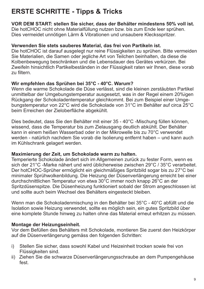## **ERSTE SCHRITTE - Tipps & Tricks**

**VOR DEM START: stellen Sie sicher, dass der Behälter mindestens 50% voll ist.** Die hotCHOC nicht ohne Materialfüllung nutzen bzw. bis zum Ende leer sprühen. Dies vermeidet unnötigen Lärm & Vibrationen und unsaubere Klecksspritzer.

#### **Verwenden Sie stets sauberes Material, das frei von Partikeln ist.**

Die hotCHOC ist darauf ausgelegt nur reine Flüssigkeiten zu sprühen. Bitte vermeiden Sie Materialien, die Samen oder jegliche Art von Teilchen beinhalten, da diese die Kolbenbewegung beschränken und die Lebensdauer des Gerätes verkürzen. Bei Zweifeln hinsichtlich Partikelbeständen in der Flüssigkeit raten wir Ihnen, diese vorab zu filtern.

#### **Wir empfehlen das Sprühen bei 35°C - 40°C. Warum?**

Wenn die warme Schokolade die Düse verlässt, sind die kleinen zerstäubten Partikel unmittelbar der Umgebungstemperatur ausgesetzt, was in der Regel einem 20%igen Rückgang der Schokoladentemperatur gleichkommt. Bei zum Beispiel einer Umgebungstemperatur von 22°C wird die Schokolade von 31°C im Behälter auf circa 25°C beim Erreichen der Zieloberfläche abgekühlt.

Dies bedeutet, dass Sie den Behälter mit einer 35 - 40°C -Mischung füllen können, wissend, dass die Temperatur bis zum Zielausgang deutlich abkühlt. Der Behälter kann in einem heißen Wasserbad oder in der Mikrowelle bis zu 70°C verwendet werden - natürlich nachdem Sie vorab die Isolierung entfernt haben – und kann auch im Kühlschrank gelagert werden.

#### **Maximierung der Zeit, um Schokolade warm zu halten.**

Temperierte Schokolade ändert sich im Allgemeinen zurück zu fester Form, wenn es sich der 21°C -Marke nähert und wird üblicherweise zwischen 29°C / 35°C verarbeitet. Der hotCHOC-Sprüher ermöglicht ein gleichmäßiges Spritzbild sogar bis zu 27°C bei minimaler Sprühwolkenbildung. Die Heizung der Düsenverlängerung erreicht bei einer durchschnittlichen Temperatur von etwa 30°C immer noch knapp 26°C an der Spritzdüsenspitze. Die Düsenheizung funktioniert sobald der Strom angeschlossen ist und sollte auch beim Wechsel des Behälters eingesteckt bleiben.

Wenn man die Schokoladenmischung in den Behälter bei 35°C - 40°C abfüllt und die Isolation sowie Heizung verwendet, sollte es möglich sein, ein gutes Spritzbild über eine komplete Stunde hinweg zu halten ohne das Material erneut erhitzen zu müssen.

#### **Montage der Heizungseinheit.**

Vor dem Befüllen des Behälters mit Schokolade, montieren Sie zuerst den Heizkörper auf die Düsenverlängerung gemäss den folgenden Schritten:

- i) Stellen Sie sicher, dass sowohl Kabel und Heizeinheit trocken sowie frei von Flüssigkeiten sind.
- ii) Ziehen Sie die schwarze Düsenverlängerungsschraube an dem Pumpengehäuse fest.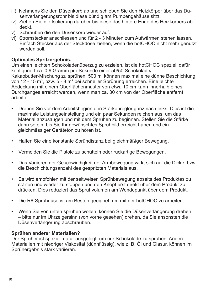- senverlängerungsrohr bis diese bündig am Pumpengehäuse sitzt. iii) Nehmens Sie den Düsenkorb ab und schieben Sie den Heizkörper über das Dü-
- iv) Ziehen Sie die Isolierung darüber bis diese das hintere Ende des Heizkörpers ab deckt.
- v) Schrauben die den Düsenkorb wieder auf.
- vi) Stromstecker anschliessen und für 2 3 Minuten zum Aufwärmen stehen lassen. Einfach Stecker aus der Steckdose ziehen, wenn die hotCHOC nicht mehr genutzt werden soll.

#### **Optimales Spritzergebnis .**

Um einen leichten Schokoladenüberzug zu erzielen, ist die hotCHOC speziell dafür konfiguriert ca. 0,6 Gramm pro Sekunde einer 50/50 Schokolade/ Kakaobutter-Mischung zu sprühen. 500 ml können maximal eine dünne Beschichtung von 12 - 15 m², bzw. 5 - 8 m² bei schneller Sprühung erreichen. Eine leichte Abdeckung mit einem Oberflächenmuster von etwa 10 cm kann innerhalb eines Durchganges erreicht werden, wenn man ca. 30 cm von der Oberfläche entfernt arbeitet.

- Drehen Sie vor dem Arbeitsbeginn den Stärkenregler ganz nach links. Dies ist die maximale Leistungseinstellung und ein paar Sekunden reichen aus, um das Material anzusaugen und mit dem Sprühen zu beginnen. Stellen Sie die Stärke dann so ein, bis Sie Ihr gewünschtes Sprühbild erreicht haben und ein gleichmässiger Geräteton zu hören ist.
- Halten Sie eine konstante Sprühdistanz bei gleichmäßiger Bewegung.
- Vermeiden Sie die Pistole zu schütteln oder ruckartige Bewegungen.
- Das Variieren der Geschwindigkeit der Armbewegung wirkt sich auf die Dicke, bzw. die Beschichtungsanzahl des gespritzten Materials aus.
- Es wird empfohlen mit der seitweisen Sprühbewegung abseits des Produktes zu starten und wieder zu stoppen und den Knopf erst direkt über dem Produkt zu drücken. Dies reduziert das Sprühvolumen am Wendepunkt über dem Produkt.
- Die R6-Sprühdüse ist am Besten geeignet, um mit der hotCHOC zu arbeiten.
- Wenn Sie von unten sprühen wollen, können Sie die Düsenverlängerung drehen – bitte nur im Uhrzeigersinn (von vorne gesehen) drehen, da Sie ansonsten die Düsenverlängerung abschrauben.

#### **Sprühen anderer Materialien?**

Der Sprüher ist speziell dafür ausgelegt, um nur Schokolade zu sprühen. Andere Materialien mit niedriger Viskosität (dünnflüssig), wie z. B. Öl und Glasur, können im Sprühergebnis stark variieren.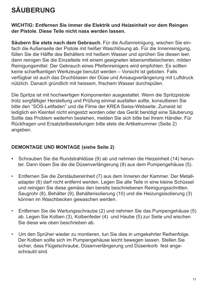## **SÄUBERUNG**

#### **WICHTIG: Entfernen Sie immer die Elektrik und Heizeinheit vor dem Reingen der Pistole. Diese Teile nicht nass werden lassen.**

**Säubern Sie stets nach dem Gebrauch.** Für die Außenreinigung, wischen Sie einfach die Außenseite der Pistole mit heißer Waschlösung ab. Für die Innenreinigung, füllen Sie die Hälfte des Behälters mit heißem Wasser und sprühen Sie diesen leer, dann reinigen Sie die Einzelteile mit einem geeigneten lebensmittelsicheren, milden Reinigungsmittel. Der Gebrauch eines Pfeifenreinigers wird empfohlen. Es sollten keine scharfkantigen Werkzeuge benutzt werden – Vorsicht ist geboten. Falls verfügbar ist auch das Druchblasen der Düse und Ansaugverlängerung mit Luftdruck nützlich. Danach gründlich mit heissem, frischem Wasser durchspülen.

Die Spritze ist mit hochwertigen Komponenten ausgestattet. Wenn die Spritzpistole trotz sorgfältiger Herstellung und Prüfung einmal ausfallen sollte, konsultieren Sie bitte den "SOS-Leitfaden" und die Filme der KREA Swiss-Webseite. Zumeist ist lediglich ein Kleinteil nicht eingestzt worden oder das Gerät benötigt eine Säuberung. Sollte das Problem weiterhin bestehen, melden Sie sich bitte bei Ihrem Händler. Für Rückfragen und Ersatzteilbestellungen bitte stets die Artikelnummer (Seite 2) angeben.

#### **DEMONTAGE UND MONTAGE (siehe Seite 2)**

- **•** Schrauben Sie die Rundstrahldüse (9) ab und nehmen die Heizeinheit (14) herun ter. Dann lösen Sie die die Düsenverlängerung (8) aus dem Pumpengehäuse (5).
- Entfernen Sie die Zerstäubereinheit (7) aus dem Inneren der Kammer. Der Metall adapter (6) darf nicht entfernt werden. Legen Sie alle Teile in eine kleine Schüssel und reinigen Sie diese gemäss den bereits beschriebenen Reinigungsschritten. Saugrohr (8), Behälter (9), Behälterisolierung (10) und die Heizungsisolierung (3) können im Waschbecken gewaschen werden.
- Entfernen Sie die Wartungsschraube (2) und nehmen Sie das Pumpengehäuse (5) ab. Legen Sie Kolben (3), Kolbenfeder (4) und Haube (5) zur Seite und wischen Sie diese wie oben beschrieben ab.
- Um den Sprüher wieder zu montieren, tun Sie dies in umgekehrter Reihenfolge. Der Kolben sollte sich im Pumpengehäuse leicht bewegen lassen. Stellen Sie sicher, dass Flügelschraube, Düsenverlängerung und Düsenkorb fest ange schraubt sind.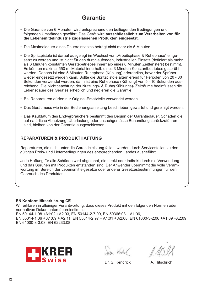### **Garantie**

- Die Garantie von 6 Monaten wird entsprechend den beiliegenden Bedingungen und folgenden Umständen gewährt. Das Gerät wird **ausschliesslich zum Verarbeiten von für die Lebensmittelindustrie zugelassenen Produkten eingesetzt.**
- Die Maximaldauer eines Dauereinsatzes beträgt nicht mehr als 5 Minuten.
- Die Spritzpistole ist darauf ausgelegt im Wechsel von "Arbeitsphase & Ruhephase" einge setzt zu werden und ist nicht für den durchlaufenden, industriellen Einsatz (definiert als mehr als 3 Minuten konstanten Gerätebetriebes innerhalb eines 8 Minuten Zeitfensters) bestimmt. Es können maximal 550 ml Material innerhalb eines 3 Minuten Konstantbetriebes gesprüht werden. Danach ist eine 5 Minuten Ruhephase (Kühlung) erforderlich, bevor der Sprüher wieder eingesetzt werden kann. Sollte die Spritzpistole alternierend für Perioden von 20 - 30 Sekunden verwendet werden, dann ist eine Ruhephase (Kühlung) von 5 - 10 Sekunden aus reichend. Die Nichtbeachtung der Nutzungs- & Ruhe(Kühlungs)- Zeiträume beeinflussen die Lebensdauer des Gerätes erheblich und negieren die Garantie.
- Bei Reparaturen dürfen nur Original-Ersatzteile verwendet werden.
- Das Gerät muss wie in der Bedienungsanleitung beschrieben gewartet und gereinigt werden.
- Das Kaufdatum des Endverbrauchers bestimmt den Beginn der Garantiedauer. Schäden die auf natürliche Abnutzung, Überlastung oder unsachgemässe Behandlung zurückzuführen sind, bleiben von der Garantie ausgeschlossen.

#### **REPARATUREN & PRODUKTHAFTUNG**

Reparaturen, die nicht unter die Garantieleistung fallen, werden durch Servicestellen zu den gültigen Preis- und Lieferbedingungen des entsprechenden Landes ausgeführt.

Jede Haftung für alle Schäden wird abgelehnt, die direkt oder indirekt durch die Verwendung und das Sprühen mit Produkten entstanden sind. Der Anwender übernimmt die volle Verantwortung im Bereich der Lebensmittelgesetze oder anderer Gesetzesbestimmungen für den Gebrauch des Produktes.

#### **EN Konformitätserklärung CE**

Wir erklären in alleiniger Verantwortung, dass dieses Produkt mit den folgenden Normen oder normativen Dokumenten übereinstimmt:

EN 50144-1:98 +A1:02 +A2:03, EN 50144-2-7:00, EN 50366:03 + A1:06, EN 55014-1:06 + A1:09 + A2:11, EN 55014-2:97 + A1:01 + A2:08, EN 61000-3-2:06 +A1:09 +A2:09, EN 61000-3-3:08, EN 62233:08



San Verdel

Dr. S. Kendrick A. Hitschrich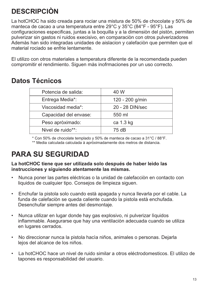## **DESCRIPCIÒN**

La hotCHOC ha sido creada para rociar una mistura de 50% de chocolate y 50% de manteca de cacao a una temperatura entre 29°C y 35°C (84°F - 95°F). Las configuraciones especificas, juntas a la boquilla y a la dimensiòn del pistòn, permiten pulverizar sin gastos ni ruidos execisivo, en comparaciòn con otros pulverizadores Ademàs han sido integradas unidades de aislacion y calefaciòn que permiten que el material rociado se enfrie lentamente.

El utilizo con otros materiales a temperatura diferente de la recomendada pueden compromitir el rendimiento. Siguen màs inofrmaciones por un uso correcto.

### **Datos Técnicos**

| Potencia de salida:   | 40 W            |
|-----------------------|-----------------|
| Entrega Media*:       | 120 - 200 g/min |
| Viscosidad media*:    | 20 - 28 DIN/sec |
| Capacidad del envase: | 550 ml          |
| Peso apròximado:      | ca 1.3 kg       |
| Nivel de ruido**:     | 75 dB           |
|                       |                 |

\* Con 50% de chocolate templado y 50% de manteca de cacao a 31°C / 88°F. \*\* Media calculada calculada à apròximadamente dos metros de distancia.

## **PARA SU SEGURIDAD**

#### **La hotCHOC tiene que ser utilizada solo después de haber leìdo las instrucciones y siguiendo atentamente las mismas.**

- Nunca poner las partes eléctricas o la unidad de calefacciòn en contacto con liquidos de cualquier tipo. Consejos de limpieza siguen.
- Enchufar la pistola solo cuando està apagada y nunca llevarla por el cable. La funda de calefaciòn se queda caliente cuando la pistola està enchufada. Desenchufar siempre antes del desmontaje.
- Nunca utilizar en lugar donde hay gas explosivo, ni pulverizar lìquidos inflammable. Asegurarse que hay una ventilaciòn adecuada cuando se utiliza en lugares cerrados.
- No direccionar nunca la pistola hacìa niños, animales o personas. Dejarla lejos del alcance de los niños.
- La hotCHOC hace un nivel de ruido similar a otros eléctrodomesticos. El utilizo de tapones es responsabilidad del usuario.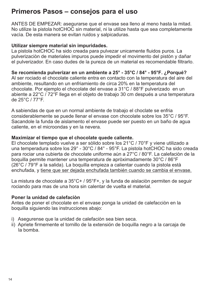### **Primeros Pasos – consejos para el uso**

ANTES DE EMPEZAR: asegurarse que el envase sea lleno al meno hasta la mitad. No utilize la pistola hotCHOC sin material, ni la utilize hasta que sea completamente vacìa. De esta manera se evitan ruidos y salpicaduras.

#### **Utilizar siempre material sin impuridades.**

La pistola hotCHOC ha sido creada para pulvezar unicamente fluidos puros. La pulverizaciòn de materiales impuros puede impedir el movimento del pistòn y dañar el pulverizador. En caso dudes de la pureza de un material es recomendable filtrarlo.

**Se recomienda pulverizar en un ambiente a 25° - 35°C / 84° - 95°F. ¿Porqué?** Al ser rociado el chocolate caliente entra en contacto con la temperatura del aire del ambiente, resultando en un enfriamiento de circa 20% en la temperatura del chocolate. Por ejemplo el chocolate del envase a 31°C / 88°F pulverizado en un abiente a 22°C / 72°F llega en el objeto de trabajo 30 cm después a una temperatura de 25°C / 77°F.

A sabiendas de que en un normal ambiente de trabajo el choclate se enfria considerablemente se puede llenar el envase con chocolate sobre los 35°C / 95°F. Sacandole la funda de aislamento el envase puede ser puesto en un baño de agua caliente, en el microondas y en la nevera.

#### **Maximizar el tiempo que el chocolate quede caliente.**

El chocolate templado vuelve a ser sòlido sobre los 21°C / 70°F y viene utilizado a una temperadura sobre los 29° - 30°C / 84° - 95°F. La pistola hotCHOC ha sido creada para rociar una cubierta de chocolate uniforme aùn a 27°C / 80°F. La calefaciòn de la boquilla permite mantener una temperatura de apròximadamente 30°C / 86°F (26°C / 79°F a la salida). La boquilla empieza a calientar cuando la pistola està enchufada, y tiene que ser dejada enchufada también cuando se cambia el envase.

La mistura de chocolate a 35°C+ / 95°F+, y la funda de aislaciòn permiten de seguir rociando para mas de una hora sin calentar de vuelta el material.

#### **Poner la unidad de calefaciòn**

Antes de poner el chocolate en el envase ponga la unidad de calefacciòn en la boquilla siguiendo las instrucciones abajo:

- i) Asegurense que la unidad de calefaciòn sea bien seca.
- ii) Apriete firmemente el tornillo de la extensión de boquilla negro a la carcaja de la bomba.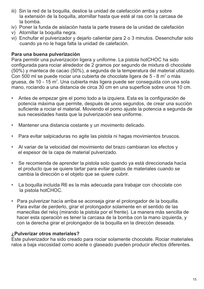- iii) Sin la red de la boquilla, deslice la unidad de calefacción arriba y sobre la extensión de la boquilla, atornillar hasta que esté al ras con la carcasa de la bomba.
- iv) Poner la funda de aislaciòn hasta la parte trasera de la unidad de calefaciiòn
- v) Atornillar la boquilla negra.
- vi) Enchufar el pulverizador y dejarlo calientar para 2 o 3 minutos. Desenchufar solo cuando ya no le haga falta la unidad de calefaciòn.

#### **Para una buena pulverizaciòn**

Para permitir una pulverizaciòn ligera y uniforme. La pistola hotCHOC ha sido configurada para rociar alrededor de 2 gramos por segundo de mixtura di chocolate (50%) y manteca de cacao (50%), a segunda de la temperatura del material utilizado. Con 500 ml se puede rociar una cubierta de chocolate ligera de 5 - 8 m<sup>2</sup> o màs gruesa, de 10 - 15 m $^{\circ}$ . Una cubierta màs ligera puede ser conseguida con una sola mano, rociando a una distancia de circa 30 cm en una superficie sobre unos 10 cm.

- Antes de empezar gire el pomo todo a la izquiera. Esta es la configuraciòn de potencia màxima que permite, después de unos segundos, de crear una succiòn suficiente a rociar el material. Moviendo el pomo ajuste la potencia a segunda de sus necesidades hasta que la pulverizaciòn sea uniforme.
- Mantener una distancia costante y un movimento delicado.
- Para evitar salpicaduras no agite las pistola ni hagas movimientos bruscos.
- Al variar de la velocidad del movimiento del brazo cambiaran los efectos y el espesor de la capa de material pulverizado.
- Se recomienda de aprender la pistola solo quando ya està direccionada hacìa el producto que se quiere tartar para evitar gastos de materiales cuando se cambia la direcciòn o el objeto que se quiere cubrir.
- La boquilla incluida R6 es la màs adecuada para trabajar con chocolate con la pistola hotCHOC.
- Para pulverizar hacìa arriba se aconseja girar el prolongador de la boquilla. Para evitar de perderlo, girar el prolongador solamente en el sentido de las manecillas del reloj (mirando la pistola por el frente). La manera màs sencilla de hacer esta operaciòn es tener la carcasa de la bomba con la mano izquierda, y con la derecha girar el prolongador de la boquilla en la direccòn deseada.

#### **¿Pulverizar otros materiales?**

Este pulverizador ha sido creado para rociar solamente chocolate. Rociar materiales ralos a baja viscosidad como aceite o glaseado pueden producir efectos diferentes.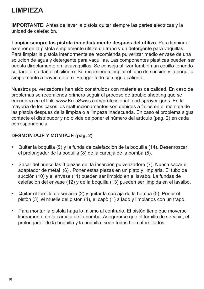### **LIMPIEZA**

**IMPORTANTE:** Antes de lavar la pistola quitar siempre las partes eléctricas y la unidad de calefaciòn.

**Limpiar sempre las pistola inmediatamente después del utilizo.** Para limpiar el exterior de la pistola simplemente utilize un trapo y un detergente para vaquillas. Para limpiar la pistola interiormente se recomienda pulverizar medio envase de una solucion de agua y detergente para vaquillas. Las componentes plasticas pueden ser puesta directamente en lavavaquillas. Se conseja utilizar también un cepillo tenendo cuidado a no dañar el cilindro. Se recomienda limpiar el tubo de succiòn y la boquilla simplemente a través de aire. Ejuagar todo con agua caliente.

Nuestros pulverizadores han sido construidos con materiales de calidad. En caso de problemas se recomienda primero seguir el proceso de trouble shooting que se encuentra en el link: www.KreaSwiss.com/professional-food-sprayer-guns. En la mayorìa de los casos los malfuncionamentos son debidos a fallos en el montaje de las pistola despues de la limpiza o a limpeza inadecuada. En caso el problema sigua contacte el distribudor y no olvide de poner el nùmero del artìculo (pag. 2) en cada correspondencia.

#### **DESMONTAJE Y MONTAJE (pag. 2)**

- **•** Quitar la boquilla (9) y la funda de calefacciòn de la boquilla (14). Desenroscar el prolongador de la boquilla (8) de la carcaja de la bomba (5).
- Sacar del hueco las 3 piezas de la inserciòn pulverizadora (7). Nunca sacar el adaptador de metal (6) . Poner estas piezas en un plato y limpiarla. El tubo de succiòn (10) y el envase (11) pueden ser limpido en el lavabo. La fundas de calefaciòn del envase (12) y de la boquilla (13) pueden ser limpida en el lavalbo.
- Quitar el tornillo de servicio (2) y quitar la carcaja de la bomba (5). Poner el pistòn (3), el muelle del piston (4), el capò (1) a lado y limpiarlos con un trapo.
- Para montar la pistola haga lo mismo al contrario. El pistòn tiene que moverse liberamente en la carcaja de la bomba. Asegurarse que el tornillo de servicio, el prolongador de la boquilla y la boquilla sean todos bien atornillados.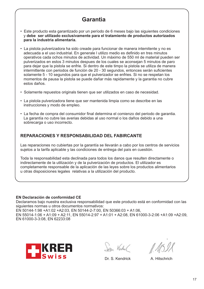### **Garantìa**

- Este producto esta garantizado por un período de 6 meses bajo las siguientes condiciones y **debe ser utilizado exclusivamente para el tratamiento de productos autorizados para la industria alimentaria.**
- La pistola pulverizadora ha sido creade para funcionar de manera intemitente y no es adecuada a el uso industrial. En generale l utilizo medio es definido en tres minutos operativos cada ochos minutos de actividad. Un màximo de 550 ml de material pueden ser pulverizados en estos 3 minutos despues de los cuales se aconsejan 5 minutos de paro para dejar que la pistola se enfrie. Si dentro de este timpo la pistola se utiliza de manera intermittente con periodos de funciòn de 20 - 30 segundos, entonces seràn suficientes solamente 5 - 10 segundos para que el pulverizador se enfries. Si no se respetan los momentos de pausa la pistola se puede dañar màs rapidamente y la garantia no cubre estos daños.
- Solamente repuestos originals tienen que ser utilizados en caso de necesidad.
- La pistola pulverizadora tiene que ser mantenida limpia como se describe en las instrucciones y modo de empleo.
- La fecha de compra del consumidor final determina el comienzo del periodo de garantia. La garantía no cubre las averias debidas al uso normal o los daños debido a una sobrecarga o uso incorrecto.

#### **REPARACIONES Y RESPONSABILIDAD DEL FABIRCANTE**

Las reparaciones no cubiertas por la garantía se llevarán a cabo por los centros de servicios sujetos a la tarifa aplicable y las condiciones de entrega del país en cuestión.

Toda la responsabilidad esta declinada para todos los danos que resulten directamente o indirectamente de la utilización y de la pulverización de productos. El utilizador es completamente responsable de la aplicación de las leyes sobre los productos alimentarios u otras disposiciones legales relativas a la utilización del producto.

#### **EN Declaración de conformidad CE**

Declaramos bajo nuestra exclusiva responsabilidad que este producto está en conformidad con las siguientes normas u otros documentos normativos:

EN 50144-1:98 +A1:02 +A2:03, EN 50144-2-7:00, EN 50366:03 + A1:06, EN 55014-1:06 + A1:09 + A2:11, EN 55014-2:97 + A1:01 + A2:08, EN 61000-3-2:06 +A1:09 +A2:09, EN 61000-3-3:08, EN 62233:08



San Verdel

Dr. S. Kendrick A. Hitschrich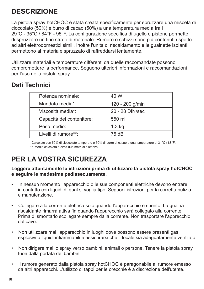## **DESCRIZIONE**

La pistola spray hotCHOC è stata creata specificamente per spruzzare una miscela di cioccolato (50%) e burro di cacao (50%) a una temperatura media fra i 29°C - 35°C / 84°F - 95°F. La configurazione specifica di ugello e pistone permette di spruzzare un fine strato di materiale. Rumore e schizzi sono più contenuti rispetto ad altri elettrodomestici simili. Inoltre l'unità di riscaldamento e le guainette isolanti permettono al materiale spruzzato di raffreddarsi lentamente.

Utilizzare materiali e temperature differenti da quelle raccomandate possono compromettere la performance. Seguono ulteriori informazioni e raccomandazioni per l'uso della pistola spray.

### **Dati Technici**

| Potenza nominale:         | 40 W            |
|---------------------------|-----------------|
| Mandata media*:           | 120 - 200 g/min |
| Viscosità media*:         | 20 - 28 DIN/sec |
| Capacità del contenitore: | 550 ml          |
| Peso medio:               | $1.3$ kg        |
| Livelli di rumore**:      | 75 dB           |
|                           |                 |

\* Calcolato con 50% di cioccolato temperato e 50% di burro di cacao a una temperature di 31°C / 88°F.

\*\* Media calcolata a circa due metri di distanza.

## **PER LA VOSTRA SICUREZZA**

**Leggere attentamente le istruzioni prima di utilizzare la pistola spray hotCHOC e seguire le medesime pedissecuamente.**

- In nessun momento l'apparecchio o le sue componenti elettriche devono entrare in contatto con liquidi di qual si voglia tipo. Seguoni istruzioni per la corretta pulizia e manutenzione.
- Collegare alla corrente elettrica solo quando l'apparecchio é spento. La guaina riscaldante rimarrà attiva fin quando l'apparecchio sarà collegato alla corrente. Prima di smontarlo scollegare sempre dalla corrente. Non trasportare l'apprecchio dal cavo.
- Non utilizzare mai l'apparecchio in luoghi dove possono essere presenti gas esplosivi o liquidi infiammabili e assicurarsi che il locale sia adeguatamente ventilato.
- Non dirigere mai lo spray verso bambini, animali o persone. Tenere la pistola spray fuori dalla portata dei bambini.
- Il rumore generato dalla pistola spray hotCHOC è paragonabile al rumore emesso da altri apparecchi. L'utilizzo di tappi per le orecchie è a discrezione dell'utente.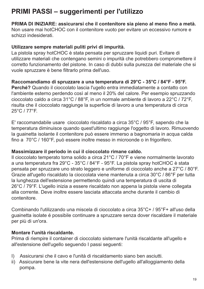### **PRIMI PASSI – suggerimenti per l'utilizzo**

**PRIMA DI INIZIARE: assicurarsi che il contenitore sia pieno al meno fino a metà.** Non usare mai hotCHOC con il contenitore vuoto per evitare un eccessivo rumore e schizzi indesiderati.

#### **Utilizzare sempre materiali puliti privi di impurità.**

La pistola spray hotCHOC è stata pensata per spruzzare liquidi puri. Evitare di utilizzare materiali che contengano semini o impurità che potrebbero compromettere il corretto funzionamento del pistone. In caso di dubbi sulla purezza del materiale che si vuole spruzzare è bene filtrarlo prima dell'uso.

#### **Raccomandiamo di spruzzare a una temperatura di 29°C - 35°C / 84°F - 95°F.**

**Perché?** Quando il cioccolato lascia l'ugello entra immediatamente a contatto con l'ambiente esterno perdendo così al meno il 20% del calore. Per esempio spruzzando cioccolato caldo a circa 31°C / 88°F, in un normale ambiente di lavoro a 22°C / 72°F, risulta che il cioccolato raggiunge la superficie di lavoro a una temperatura di circa 25°C / 77°F.

E' raccomandabile usare cioccolato riscaldato a circa 35°C / 95°F, sapendo che la temperatura diminuisce quando quest'ultimo raggiunge l'oggetto di lavoro. Rimuovendo la guainetta isolante il contenitore può essere immerso a bagnomaria in acqua calda fino a 70°C / 160°F, può essere inoltre messo in microonde o in frigorifero.

#### **Massimizzare il periodo in cui il cioccolato rimane caldo.**

Il cioccolato temperato torna solido a circa 21°C / 70°F e viene normalmente lavorato a una temperatura fra 29°C - 35°C / 84°F - 95°F. La pistola spray hotCHOC è stata pensata per spruzzare uno strato leggero e uniforme di cioccolato anche a 27°C / 80°F. Grazie all'ugello riscaldato la cioccolata viene mantenuta a circa 30°C / 86°F per tutta la lunghezza dell'estensione permettendo quindi una temperatura di uscita di 26°C / 79°F. L'ugello inizia a essere riscaldato non appena la pistola viene collegata alla corrente. Deve inoltre essere lasciata attaccata anche durante il cambio di contenitore.

Combinando l'utilizzando una miscela di cioccolato a circa 35°C+ / 95°F+ all'uso della guainetta isolate é possibile continuare a spruzzare senza dover riscaldare il materiale per più di un'ora.

#### **Montare l'unità riscaldante.**

Prima di riempire il container di cioccolato sistemare l'unità riscaldante all'ugello e all'estensione dell'ugello seguendo I passi seguenti:

- I) Assicurarsi che il cavo e l'unità di riscaldamento siano ben asciutti.
- ii) Assicurare bene la vite nera dell'estensione dell'ugello all'alloggiamento della pompa.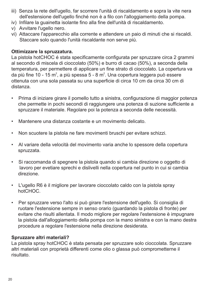- dell'estensione dell'ugello finché non è a filo con l'alloggiamento della pompa. iii) Senza la rete dell'ugello, far scorrere l'unità di riscaldamento e sopra la vite nera
- iv) Infilare la guainetta isolante fino alla fine dell'unità di riscaldamento.
- v) Avvitare l'ugello nero.
- vi) Attaccare l'apparecchio alla corrente e attendere un paio di minuti che si riscaldi. Staccare solo quando l'unità riscaldante non serve più.

#### **Ottimizzare la spruzzatura.**

La pistola hotCHOC é stata specificamente configurata per spruzzare circa 2 grammi al secondo di miscela di cioccolato (50%) e burro di cacao (50%), a seconda della temperatura, per permettere di applicare un fine strato di cioccolato. La copertura va da più fine 10 - 15 m $^{\circ}$ , a più spessa 5 - 8 m $^{\circ}$ . Una copertura leggera può essere ottenuta con una sola passata su una superficie di circa 10 cm da circa 30 cm di distanza.

- Prima di iniziare girare il pomello tutto a sinistra, configurazione di maggior potenza che permette in pochi secondi di raggiungere una potenza di suzione sufficiente a spruzzare il materiale. Regolare poi la potenza a seconda delle necessità.
- Mantenere una distanza costante e un movimento delicato.
- Non scuotere la pistola ne fare movimenti bruschi per evitare schizzi.
- Al variare della velocità del movimento varia anche lo spessore della copertura spruzzata.
- Si raccomanda di spegnere la pistola quando si cambia direzione o oggetto di lavoro per evetiare sprechi e dislivelli nella copertura nel punto in cui si cambia direzione.
- L'ugello R6 è il migliore per lavorare cioccolato caldo con la pistola spray hotCHOC.
- Per spruzzare verso l'alto si può girare l'estensione dell'ugello. Si consiglia di ruotare l'estensione sempre in senso orario (guardando la pistola di fronte) per evitare che risulti allentata. Il modo migliore per regolare l'estensione è impugnare la pistola dall'alloggiamento della pompa con la mano sinistra e con la mano destra procedure a regolare l'estensione nella direzione desiderata.

#### **Spruzzare altri materiali?**

La pistola spray hotCHOC è stata pensata per spruzzare solo cioccolata. Spruzzare altri materiali con proprietà differenti come olio o glassa può comprometterne il risultato.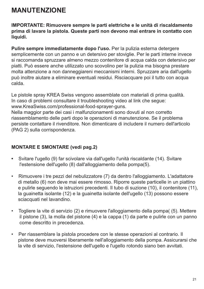### **MANUTENZIONE**

**IMPORTANTE: Rimuovere sempre le parti elettriche e le unità di riscaldamento prima di lavare la pistola. Queste parti non devono mai entrare in contatto con liquidi.**

**Pulire sempre immediatamente dopo l'uso.** Per la pulizia esterna detergere semplicemente con un panno e un detersivo per stoviglie. Per le parti interne invece si raccomanda spruzzare almeno mezzo contenitore di acqua calda con detersivo per piatti. Può essere anche utilizzato uno scovolino per la pulizia ma bisogna prestare molta attenzione a non danneggiareni meccanismi interni. Spruzzare aria dall'ugello può inoltre aiutare a eliminare eventuali residui. Risciacquare poi il tutto con acqua calda.

Le pistole spray KREA Swiss vengono assemblate con materiali di prima qualità. In caso di problemi consultare il troubleshooting video al link che segue: www.KreaSwiss.com/professional-food-sprayer-guns.

Nella maggior parte dei casi i malfunzionamenti sono dovuti al non corretto riassemblamento delle parti dopo le operazioni di manutenzione. Se il problema persiste contattare il rivenditore. Non dimenticare di includere il numero dell'articolo (PAG 2) sulla corrispondenza.

#### **MONTARE E SMONTARE (vedi pag.2)**

- **•** Svitare l'ugello (9) far scivolare via dall'ugello l'unità riscaldante (14). Svitare l'estensione dell'ugello (8) dall'alloggiamento della pompa(5).
- Rimuovere i tre pezzi del nebulizzatore (7) da dentro l'alloggiamento. L'adattatore di metallo (6) non deve mai essere rimosso. Riporre queste particelle in un piattino e pulirle seguendo le istruzioni precedenti. Il tubo di suzione (10), il contenitore (11), la guainetta isolante (12) e la guainetta isolante dell'ugello (13) possono essere sciacquati nel lavandino.
- Togliere la vite di servizio (2) e rimuovere l'alloggiamento della pompa( (5). Mettere il pistone (3), la molla del pistone (4) e la cappa (1) da parte e pulirle con un panno come descritto in precedenza.
- Per riassemblare la pistola procedere con le stesse operazioni al contrario. Il pistone deve muoversi liberamente nell'alloggiamento della pompa. Assicurarsi che la vite di servizio, l'estensione dell'ugello e l'ugello rotondo siano ben avvitati.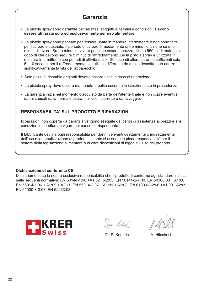### **Garanzia**

- Le pistole spray sono garantite per sei mesi soggetti ai termini e condizioni. **Devono essere utilizzate solo ed esclusivamente per uso alimentare.**
- Le pistole spray sono pensate per essere usate in maniera intermittente e non sono fatte per l'utilizzo industriale. Il periodo di utilizzo è mediamente di tre minuti di azione su otto minuti di lavoro. Su tre minuti di lavoro possono essere spruzzati fino a 550 ml di materiale, dopo di che devono seguire 5 minuti di raffreddamento. Se la pistola spray è utilizzata in maniera intermittente con periodi di attività di 20 - 30 secondi allora saranno sufficienti solo 5 - 10 secondi per il raffreddamento. Un utilizzo differente da quello descritto può ridurre significativamente la vita dell'apparecchio.
- Solo pezzi di ricambio originali devono essere usati in caso di riparazione.
- La pistola spray deve essere mantenuta e pulita secondo le istruzioni date in precedenza.
- La garanzia inizia nel momento d'acquisto da parte dell'utente finale e non copre eventuali danni causati dalla normale usura, dall'uso incorretto o dal lavaggio.

#### **RESPONSABILITA' SUL PRODOTTO E RIPARAZIONI**

Riparazioni non coperte da garanzia vengono eseguite dai centri di assistenza ai prezzi e alle condizioni di fornitura in vigore nel paese corrispondente.

Il fabbricante declina ogni responsabilità per danni derivanti direttamente o indirettamente dall'uso e la nebulizzazione di prodotti. L'utente si assume la piena responsabilità per il settore della legislazione alimentare o di altre disposizioni di legge sull'uso del prodotto.

#### **Dichiarazione di conformità CE**

Dichiariamo sotto la nostra esclusiva responsabilità che il prodotto è conforme agli standard indicati nelle seguenti normative: EN 50144-1:98 +A1:02 +A2:03, EN 50144-2-7:00, EN 50366:03 + A1:06, EN 55014-1:06 + A1:09 + A2:11, EN 55014-2:97 + A1:01 + A2:08, EN 61000-3-2:06 +A1:09 +A2:09, EN 61000-3-3:08, EN 62233:08



San Verdel

Dr. S. Kendrick A. Hitschrich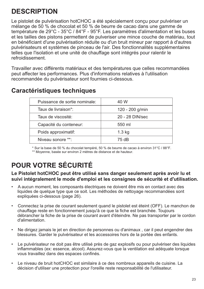## **DESCRIPTION**

Le pistolet de pulvérisation hotCHOC a été spécialement conçu pour pulvériser un mélange de 50 % de chocolat et 50 % de beurre de cacao dans une gamme de température de 29°C - 35°C / 84°F - 95°F. Les paramètres d'alimentation et les buses et les tailles des pistons permettent de pulveriser une mince couche de matériau, tout en bénéficiant d'une pulvérisation réduite ou d'un bruit mineur par rapport à d'autres pulvérisateurs et systèmes de pinceau de l'air. Des fonctionnalités supplémentaires telles que l'isolation et une unité de chauffage sont intégrés pour ralentir le refroidissement.

Travailler avec différents matériaux et des températures que celles recommandées peut affecter les performances. Plus d'informations relatives à l'utilisation recommandée du pulvérisateur sont fournies ci-dessous.

| Puissance de sortie nominale: | 40 W            |
|-------------------------------|-----------------|
| Taux de livraison*:           | 120 - 200 g/min |
| Taux de viscosité:            | 20 - 28 DIN/sec |
| Capacité du conteneur:        | 550 ml          |
| Poids approximatif:           | $1.3$ kg        |
| Niveau sonore **:             | 75 dB           |

### **Caractéristiques techniques**

\* Sur la base de 50 % du chocolat tempéré, 50 % de beurre de cacao à environ 31°C / 88°F. \*\* Moyenne, basée sur environ 2 mètres de distance et de hauteur.

## **POUR VOTRE SÉCURITÉ**

#### **Le Pistolet hotCHOC peut être utilisé sans danger seulement après avoir lu et suivi intégralement le mode d'emploi et les consignes de sécurité et d'utilisation.**

- A aucun moment, les composants électriques ne doivent être mis en contact avec des liquides de quelque type que ce soit. Les méthodes de nettoyage recommandées sont expliquées ci-dessous (page 26).
- Connectez la prise de courant seulement quand le pistolet est éteint (OFF). Le manchon de chauffage reste en fonctionnement jusqu'à ce que la fiche est branchée. Toujours débrancher la fiche de la prise de courant avant d'éteindre. Ne pas transporter par le cordon d'alimentation.
- Ne dirigez jamais le jet en direction de personnes ou d'animaux , car il peut engendrer des blessures. Garder le pulvérisateur et les accessoires hors de la portée des enfants.
- Le pulvérisateur ne doit pas être utilisé près de gaz explosifs ou pour pulvériser des liquides inflammables (ex: essence, alcool). Assurez-vous que la ventilation est adéquate lorsque vous travaillez dans des espaces confinés.
- Le niveau de bruit hotCHOC est similaire à ce des nombreux appareils de cuisine. La décision d'utiliser une protection pour l'oreille reste responsabilité de l'utilisateur.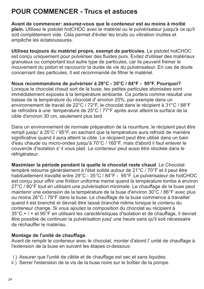### **POUR COMMENCER - Trucs et astuces**

**Avant de commencer: assurez-vous que le conteneur est au moins à moitié plein.** Utilisez le pistolet hotCHOC avec le matériel ou le pulvérisateur jusqu'à ce qu'il soit complètement vide. Cela permet d'éviter les bruits ou vibration inutiles et empêche les éclaboussures.

**Utilisez toujours du matériel propre, exempt de particules.** Le pistolet hotCHOC est conçu uniquement pour pulvériser des fluides purs. Evitez d'utiliser des matériaux granuleux ou comportant tout autre type de particules, car ils peuvent freiner le mouvement du piston et raccourcir la durée de vie du pulvérisateur. En cas de doute concernant des particules, Il est recommandé de filtrer le matériel.

**Nous recommandons de pulvériser à 29°C - 35°C / 84°F - 95°F. Pourquoi?** Lorsque le chocolat chaud sort de la buse, les petites particules atomisées sont immédiatement exposés à la température ambiante. Ca portera comme résultat une baisse de la température du chocolat d' environ 20%, par exemple dans un environnement de travail de 22°C / 72°F, le chocolat dans le récipient à 31°C / 88°F se refroidira à une température de 25°C / 77°F après avoir atteint la surface de la cible d'environ 30 cm, seulement plus tard.

Dans un environnement de normale préparation de la nourriture, le récipient peut être rempli jusqu' à 35°C / 95°F, en sachant que la température aura refroidi de manière significative quand il aura atteint la cible. Le récipient peut être utilisé dans un bain d'eau chaude ou micro-ondes jusqu'à 70°C / 160°F, mais d'abord il faut enlever le couvercle d'isolation s' il vous plait. Le conteneur peut aussi être stockée dans le réfrigérateur.

**Maximiser la période pendant la quelle le chocolat reste chaud**. Le Chocolat tempéré retourne généralement à l'état solide autour de 21°C / 70°F et il peut être habituellement travaillé entre 29°C - 35°C / 84°F - 95°F. Le pulvérisateur de hotCHOC est conçu pour offrir une finition uniforme meme quand la température tombe à environ 27°C / 80°F tout en utilisant une pulvérisation minimale. Le chauffage de la buse peut maintenir une extension de la température de la buse d'environ 30°C / 86°F avec plus ou moins 26°C / 79°F dans la buse. Le chauffage de la buse commence à travailler quand il est branché et devrait être laissé branché même lorsque le contenu du conteneur change. Si vous ajoutez la composition du chocolat au récipient à 35°C + / + et 95°F en utilisant les caractéristiques d'isolation et de chauffage, il devrait être possible de continuer la pulvérisation jusq' une heure sans qu'il soit nécessaire de réchauffer le matériau.

#### **Montage de l'unité de chauffage**.

Avant de remplir le conteneur avec le chocolat, monter d'abord l' unité de chauffage à l'extension de la buse en suivant les étapes ci-dessous:

- i ) Assurer que l'unité de câble et de chauffage est sec et sans liquides.
- ii ) Serrer l'estension de la vis de la buse noire sur le boîtier de la pompe.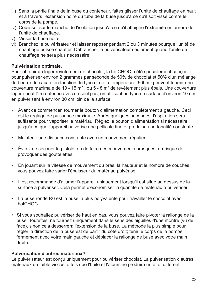- iii) Sans la partie finale de la buse du conteneur, faites glisser l'unité de chauffage en haut et à travers l'extension noire du tube de la buse jusqu'à ce qu'il soit vissé contre le corps de la pompe.
- iv) Coulisser sur le manche de l'isolation jusqu'à ce qu'il atteigne l'extrémité en arrière de l'unité de chauffage.
- v) Visser la buse noire.
- vi) Branchez le pulvérisateur et laisser reposer pendant 2 ou 3 minutes pourque l'unité de chauffage puisse chauffer. Débrancher le pulvérisateur seulement quand l'unité de chauffage ne sera plus nécessaire.

#### **Pulvérisation optimale.**

Pour obtenir un leger revêtement de chocolat, la hotCHOC a été spécialement conçue pour pulvériser environ 2 grammes par seconde de 50% de chocolat et 50% d'un mélange de beurre de cacao, en fonction du type et de la température. 500 ml peuvent fournir une couverture maximale de 10 - 15 m<sup>2</sup>, ou 5 - 8 m<sup>2</sup> de revêtement plus épais. Une couverture legère peut être obtenue avec un seul pas, en utilisant un type de surface d'environ 10 cm, en pulvérisant à environ 30 cm loin de la surface.

- Avant de commencer, tourner le bouton d'alimentation complètement à gauche. Ceci est le réglage de puissance maximale. Après quelques secondes, l'aspiration sera suffisante pour vaporiser le matériau. Réglez le bouton d'alimentation si nécessaire jusqu'à ce que l'appareil pulvérise une pellicule fine et produise une tonalité constante.
- Maintenir une distance constante avec un mouvement régulier.
- Évitez de secouer le pistolet ou de faire des mouvements brusques, au risque de provoquer des gouttelettes.
- En jouant sur la vitesse de mouvement du bras, la hauteur et le nombre de couches, vous pouvez faire varier l'épaisseur du matériau pulvérisé.
- Il est recommandé d'allumer l'appareil uniquement lorsqu'il est situé au dessus de la surface à pulvériser. Cela permet d'économiser la quantité de matériau à pulvériser.
- La buse ronde R6 est la buse la plus polyvalente pour travailler le chocolat avec hotCHOC.
- Si vous souhaitez pulvériser de haut en bas, vous pouvez faire pivoter la rallonge de la buse. Toutefois, ne tournez uniquement dans le sens des aiguilles d'une montre (vu de face), sinon cela desserrera l'extension de la buse. La méthode la plus simple pour régler la direction de la buse est de partir du côté droit; tenir le corps de la pompe fermement avec votre main gauche et déplacer la rallonge de buse avec votre main droite.

#### **Pulvérisation d'autres matériaux?**

Le pulvérisateur est conçu uniquement pour pulvériser chocolat. La pulvérisation d'autres matériaux de faible viscosité tels que l'huile et l'albumine produira un effet différent.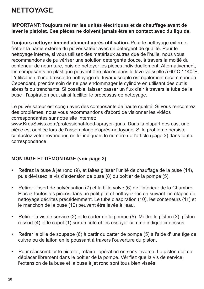### **NETTOYAGE**

**IMPORTANT: Toujours retirer les unités électriques et de chauffage avant de laver le pistolet. Ces pièces ne doivent jamais être en contact avec du liquide.**

**Toujours nettoyer immédiatement après utilisation.** Pour le nettoyage externe, frottez la partie externe du pulvérisateur avec un détergent de qualité. Pour le nettoyage interne, si vous utilisez des matériaux autres que de l'huile, nous vous recommandons de pulvériser une solution détergente douce, à travers la moitié du conteneur de nourriture, puis de nettoyer les pièces individuellement. Alternativement, les composants en plastique peuvent être placés dans le lave-vaisselle à 60°C / 140°F. L'utilisation d'une brosse de nettoyage de tuyaux souple est également recommandée. Cependant, prendre soin de ne pas endommager le cylindre en utilisant des outils abrasifs ou tranchants. Si possible, laisser passer un flux d'air à travers le tube de la buse : l'aspiration peut ainsi faciliter le processus de nettoyage.

Le pulvérisateur est conçu avec des composants de haute qualité. Si vous rencontrez des problèmes, nous vous recommandons d'abord de visionner les vidéos correspondantes sur notre site Internet:

www.KreaSwiss.com/professional-food-sprayer-guns. Dans la plupart des cas, une pièce est oubliée lors de l'assemblage d'après-nettoyage. Si le problème persiste contactez votre revendeur, en lui indiquant le numéro de l'article (page 3) dans toute correspondance.

#### **MONTAGE ET DÉMONTAGE (voir page 2)**

- **•** Retirez la buse à jet rond (9), et faites glisser l'unité de chauffage de la buse (14), puis dévissez la vis d'extension de buse (8) du boîtier de la pompe (5).
- Retirer l'insert de pulvérisation (7) et la bille valve (6) de l'intérieur de la Chambre. Placez toutes les pièces dans un petit plat et nettoyez-les en suivant les étapes de nettoyage décrites précédemment. Le tube d'aspiration (10), les conteneurs (11) et le manchon de la buse (12) peuvent être lavés à l'eau.
- Retirer la vis de service (2) et le carter de la pompe (5). Mettre le piston (3), piston ressort (4) et le capot (1) sur un côté et les essuyer comme indiqué ci-dessus.
- Retirer la bille de soupape (6) à partir du carter de pompe (5) à l'aide d' une tige de cuivre ou de laiton en le poussant à travers l'ouverture du piston.
- Pour réassembler le pistolet, refaire l'opération en sens inverse. Le piston doit se déplacer librement dans le boîtier de la pompe. Vérifiez que la vis de service, l'extension de la buse et la buse à jet rond sont tous bien vissés.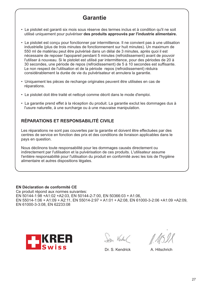### **Garantie**

- Le pistolet est garanti six mois sous réserve des termes inclus et à condition qu'il ne soit utilisé uniquement pour pulvériser **des produits approuvés par l'industrie alimentaire.**
- Le pistolet est conçu pour fonctionner par intermittence. Il ne convient pas à une utilisation industrielle (plus de trois minutes de fonctionnement sur huit minutes). Un maximum de 550 ml de matériau peut être pulvérisé dans un délai de 3 minutes, après quoi il est nécessaire de reposer l'apopareil pendant 5 minutes (refroidissement) avant de pouvoir l'utiliser à nouveau. Si le pistolet est utilisé par intermittence, pour des périodes de 20 à 30 secondes, une période de repos (refroidissement) de 5 à 10 secondes est suffisante. Le non respect de l'utilisation et de la période repos (refroidissement) réduira considérablement la durée de vie du pulvérisateur et annulera la garantie.
- Uniquement les pièces de rechange originales peuvent être utilisées en cas de réparations.
- Le pistolet doit être traité et nettoyé comme décrit dans le mode d'emploi.
- La garantie prend effet à la réception du produit. La garantie exclut les dommages dus à l'usure naturelle, à une surcharge ou à une mauvaise manipulation.

#### **RÉPARATIONS ET RESPONSABILITÉ CIVILE**

Les réparations ne sont pas couvertes par la garantie et doivent être effectuées par des centres de service en fonction des prix et des conditions de livraison applicables dans le pays en question.

Nous déclinons toute responsabilité pour les dommages causés directement ou indirectement par l'utilisation et la pulvérisation de ces produits. L'utilisateur assume l'entière responsabilité pour l'utilisation du produit en conformité avec les lois de l'hygiène alimentaire et autres dispositions légales.

#### **EN Déclaration de conformité CE**

Ce produit répond aux normes suivantes: EN 50144-1:98 +A1:02 +A2:03, EN 50144-2-7:00, EN 50366:03 + A1:06, EN 55014-1:06 + A1:09 + A2:11, EN 55014-2:97 + A1:01 + A2:08, EN 61000-3-2:06 +A1:09 +A2:09, EN 61000-3-3:08, EN 62233:08



San Verdel

Dr. S. Kendrick A. Hitschrich